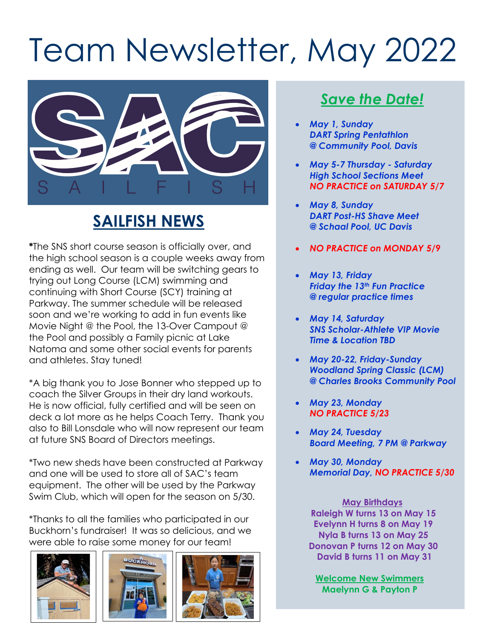# Team Newsletter, May 2022



## **SAILFISH NEWS**

**\***The SNS short course season is officially over, and the high school season is a couple weeks away from ending as well. Our team will be switching gears to trying out Long Course (LCM) swimming and continuing with Short Course (SCY) training at Parkway. The summer schedule will be released soon and we're working to add in fun events like Movie Night @ the Pool, the 13-Over Campout @ the Pool and possibly a Family picnic at Lake Natoma and some other social events for parents and athletes. Stay tuned!

\*A big thank you to Jose Bonner who stepped up to coach the Silver Groups in their dry land workouts. He is now official, fully certified and will be seen on deck a lot more as he helps Coach Terry. Thank you also to Bill Lonsdale who will now represent our team at future SNS Board of Directors meetings.

\*Two new sheds have been constructed at Parkway and one will be used to store all of SAC's team equipment. The other will be used by the Parkway Swim Club, which will open for the season on 5/30.

\*Thanks to all the families who participated in our Buckhorn's fundraiser! It was so delicious, and we were able to raise some money for our team!







#### *Save the Date!*

- *May 1, Sunday DART Spring Pentathlon @ Community Pool, Davis*
- *May 5-7 Thursday - Saturday High School Sections Meet NO PRACTICE on SATURDAY 5/7*
- *May 8, Sunday DART Post-HS Shave Meet @ Schaal Pool, UC Davis*
- *NO PRACTICE on MONDAY 5/9*
- *May 13, Friday Friday the 13th Fun Practice @ regular practice times*
- *May 14, Saturday SNS Scholar-Athlete VIP Movie Time & Location TBD*
- *May 20-22, Friday-Sunday Woodland Spring Classic (LCM) @ Charles Brooks Community Pool*
- *May 23, Monday NO PRACTICE 5/23*
- *May 24, Tuesday Board Meeting, 7 PM @ Parkway*
- *May 30, Monday Memorial Day, NO PRACTICE 5/30*

**May Birthdays Raleigh W turns 13 on May 15 Evelynn H turns 8 on May 19 Nyla B turns 13 on May 25 Donovan P turns 12 on May 30 David B turns 11 on May 31**

**Welcome New Swimmers Maelynn G & Payton P**